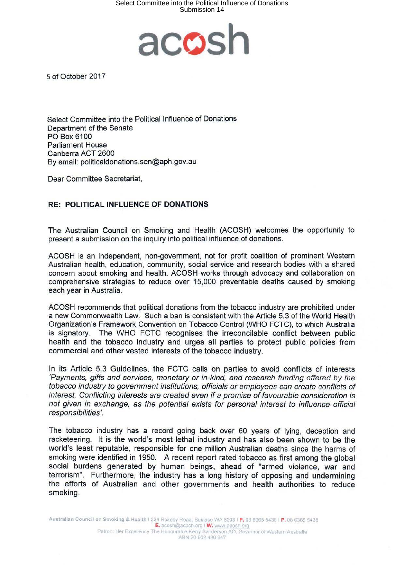## Select Committee into the Political Influence of Donations Submission 14



s of October 2017

Select Committee into the Political Influence of Donations Department of the Senate PO Box 6100 Parliament House Canberra ACT 2600 By email: politicaldonations.sen@aph.gov.au

Dear Committee Secretariat,

## **RE: POLITICAL INFLUENCE OF DONATIONS**

The Australian Council on Smoking and Health (ACOSH) welcomes the opportunity to present a submission on the inquiry into political influence of donations.

ACOSH is an independent, non-government, not for profit coalition of prominent Western Australian health, education, community, social service and research bodies with a shared concern about smoking and health. ACOSH works through advocacy and collaboration on comprehensive strategies to reduce over 15,000 preventable deaths caused by smoking each year in Australia.

ACOSH recommends that political donations from the tobacco industry are prohibited under a new Commonwealth Law. Such a ban is consistent with the Article 5.3 of the World Health Organization's Framework Convention on Tobacco Control (WHO FCTC), to which Australia is signatory. The WHO FCTC recognises the irreconcilable conflict between public health and the tobacco industry and urges all parties to protect public policies from commercial and other vested interests of the tobacco industry.

In its Article 5.3 Guidelines, the FCTC calls on parties to avoid conflicts of interests 'Payments, gifts and services, monetary or in-kind, and research funding offered by the tobacco industry to government institutions, officials or employees can create conflicts of interest. Conflicting interests are created even if a promise of favourable consideration is not given in exchange, as the potential exists for personal interest to influence official responsibilities'.

The tobacco industry has a record going back over 60 years of lying, deception and racketeering. It is the world's most lethal industry and has also been shown to be the world's least reputable, responsible for one million Australian deaths since the harms of smoking were identified in 1950. A recent report rated tobacco as first among the global social burdens generated by human beings, ahead of "armed violence, war and terrorism". Furthermore, the industry has a long history of opposing and undermining the efforts of Australian and other governments and health authorities to reduce smoking.